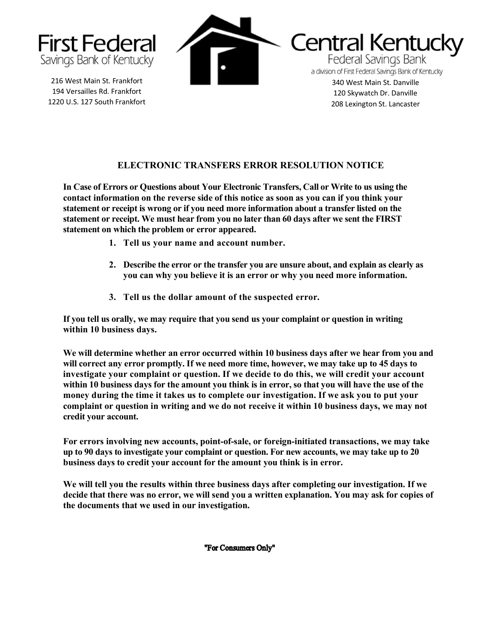

216 West Main St. Frankfort 194 Versailles Rd. Frankfort 1220 U.S. 127 South Frankfort



**Central Kentucky Federal Savings Bank** a division of First Federal Savings Bank of Kentucky 340 West Main St. Danville 120 Skywatch Dr. Danville

208 Lexington St. Lancaster

## **ELECTRONIC TRANSFERS ERROR RESOLUTION NOTICE**

**In Case of Errors or Questions about Your Electronic Transfers, Call or Write to us using the contact information on the reverse side of this notice as soon as you can if you think your statement or receipt is wrong or if you need more information about a transfer listed on the statement or receipt. We must hear from you no later than 60 days after we sent the FIRST statement on which the problem or error appeared.**

- **1. Tell us your name and account number.**
- **2. Describe the error or the transfer you are unsure about, and explain as clearly as you can why you believe it is an error or why you need more information.**
- **3. Tell us the dollar amount of the suspected error.**

**If you tell us orally, we may require that you send us your complaint or question in writing within 10 business days.**

**We will determine whether an error occurred within 10 business days after we hear from you and will correct any error promptly. If we need more time, however, we may take up to 45 days to investigate your complaint or question. If we decide to do this, we will credit your account within 10 business days for the amount you think is in error, so that you will have the use of the money during the time it takes us to complete our investigation. If we ask you to put your complaint or question in writing and we do not receive it within 10 business days, we may not credit your account.**

**For errors involving new accounts, point-of-sale, or foreign-initiated transactions, we may take up to 90 days to investigate your complaint or question. For new accounts, we may take up to 20 business days to credit your account for the amount you think is in error.**

**We will tell you the results within three business days after completing our investigation. If we decide that there was no error, we will send you a written explanation. You may ask for copies of the documents that we used in our investigation.**

"For Consumers Only"